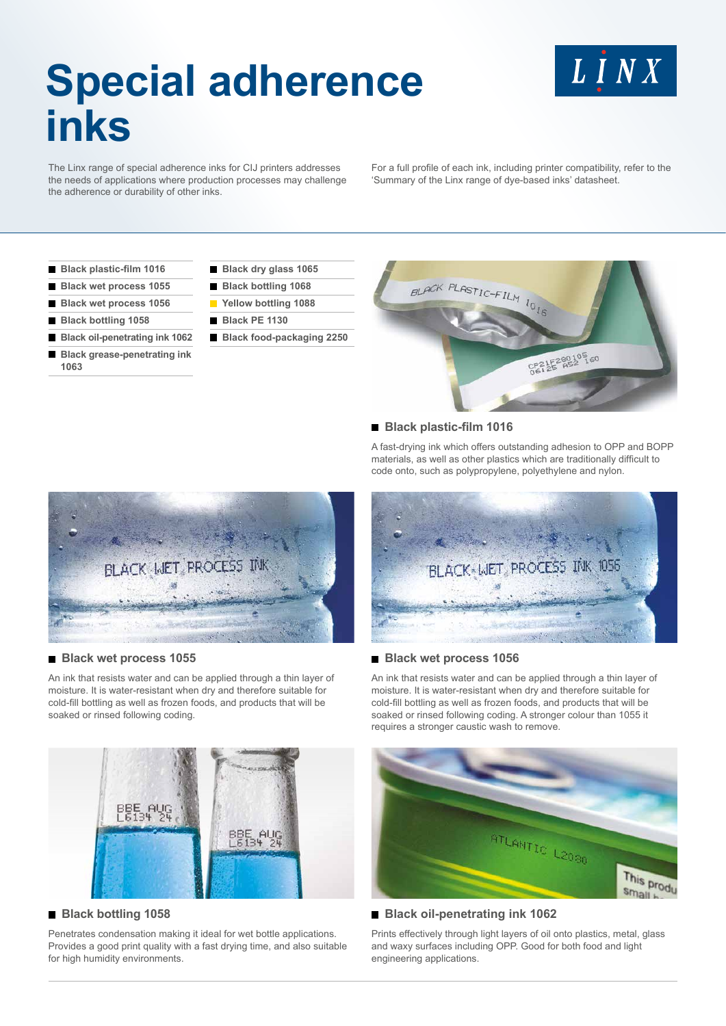# **Special adherence inks**

LINX

The Linx range of special adherence inks for CIJ printers addresses the needs of applications where production processes may challenge the adherence or durability of other inks.

For a full profile of each ink, including printer compatibility, refer to the 'Summary of the Linx range of dye-based inks' datasheet.

- **Black plastic-film 1016**
- **Black wet process 1055**
- **Black wet process 1056**
- **Black bottling 1058**
- **Black oil-penetrating ink 1062 Black grease-penetrating ink 1063**
- **Black dry glass 1065**
- **Black bottling 1068 Yellow bottling 1088**
- **Black PE 1130**
- **Black food-packaging 2250**



#### **Black plastic-film 1016**

A fast-drying ink which offers outstanding adhesion to OPP and BOPP materials, as well as other plastics which are traditionally difficult to code onto, such as polypropylene, polyethylene and nylon.



#### **Black wet process 1055**

An ink that resists water and can be applied through a thin layer of moisture. It is water-resistant when dry and therefore suitable for cold-fill bottling as well as frozen foods, and products that will be soaked or rinsed following coding.



# **Black bottling 1058**

Penetrates condensation making it ideal for wet bottle applications. Provides a good print quality with a fast drying time, and also suitable for high humidity environments.



#### **Black wet process 1056**

An ink that resists water and can be applied through a thin layer of moisture. It is water-resistant when dry and therefore suitable for cold-fill bottling as well as frozen foods, and products that will be soaked or rinsed following coding. A stronger colour than 1055 it requires a stronger caustic wash to remove.



# **Black oil-penetrating ink 1062**

Prints effectively through light layers of oil onto plastics, metal, glass and waxy surfaces including OPP. Good for both food and light engineering applications.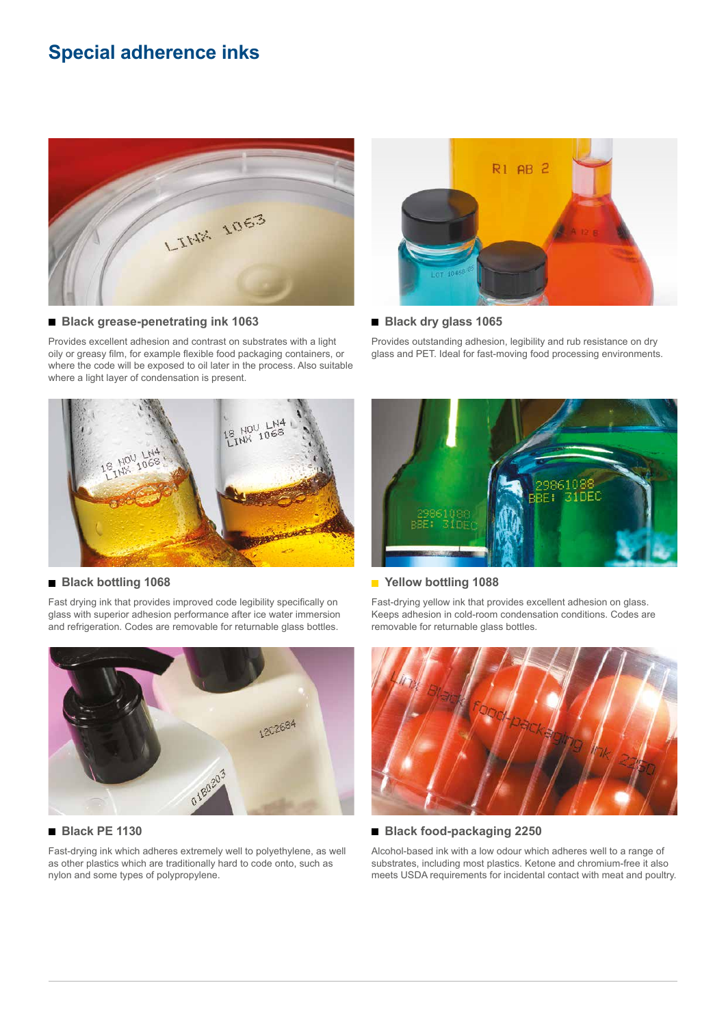# **Special adherence inks**



#### **Black grease-penetrating ink 1063**

Provides excellent adhesion and contrast on substrates with a light oily or greasy film, for example flexible food packaging containers, or where the code will be exposed to oil later in the process. Also suitable where a light layer of condensation is present.



#### **Black dry glass 1065**

Provides outstanding adhesion, legibility and rub resistance on dry glass and PET. Ideal for fast-moving food processing environments.



#### **Black bottling 1068**

Fast drying ink that provides improved code legibility specifically on glass with superior adhesion performance after ice water immersion and refrigeration. Codes are removable for returnable glass bottles.



# **Black PE 1130**

Fast-drying ink which adheres extremely well to polyethylene, as well as other plastics which are traditionally hard to code onto, such as nylon and some types of polypropylene.



# **Yellow bottling 1088**

Fast-drying yellow ink that provides excellent adhesion on glass. Keeps adhesion in cold-room condensation conditions. Codes are removable for returnable glass bottles.



### **Black food-packaging 2250**

Alcohol-based ink with a low odour which adheres well to a range of substrates, including most plastics. Ketone and chromium-free it also meets USDA requirements for incidental contact with meat and poultry.